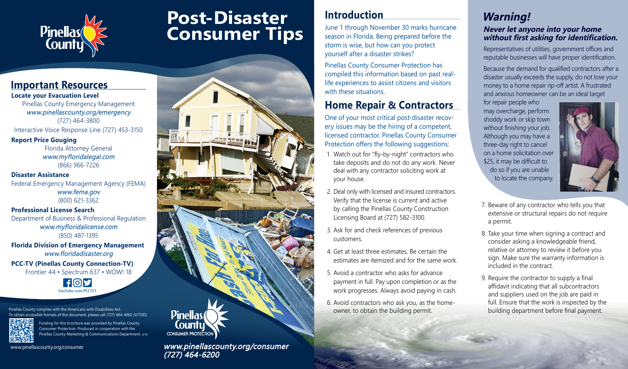

# **Post-Disaster Consumer Tips**

#### **Important Resources**

**Locate your Evacuation Level** Pinellas County Emergency Management www.pinellascounty.org/emergency (727) 464-3800

Interactive Voice Response Line (727) 453-3150

**Report Price Gouging** Florida Attorney General www.myfloridalegal.com (866) 966-7226

**Disaster Assistance** Federal Emergency Management Agency (FEMA) www.fema.gov (800) 621-3362

**Professional License Search** Department of Business & Professional Regulation www.myfloridalicense.com (850) 487-1395

**Florida Division of Emergency Management** www.floridadisaster.org

**PCC-TV (Pinellas County Connection-TV)** Frontier 44 • Spectrum 637 • WOW! 18



Pinellas County complies with the Americans with Disabilities Act. To obtain accessible formats of this document, please call (727) 464-4062 (V/TDD).



Funding for this brochure was provided by Pinellas County Consumer Protection. Produced in cooperation with the Pinellas County Marketing & Communications Department. 6/18

www.pinellascounty.org/consumer



#### **Introduction**

June 1 through November 30 marks hurricane season in Florida. Being prepared before the storm is wise, but how can you protect yourself after a disaster strikes?

Pinellas County Consumer Protection has compiled this information based on past reallife experiences to assist citizens and visitors with these situations.

### **Home Repair & Contractors**

One of your most critical post-disaster recovery issues may be the hiring of a competent, licensed contractor. Pinellas County Consumer Protection offers the following suggestions:

- 1. Watch out for "fly-by-night" contractors who take deposits and do not do any work. Never deal with any contractor soliciting work at your house.
- 2. Deal only with licensed and insured contractors. Verify that the license is current and active by calling the Pinellas County Construction Licensing Board at (727) 582-3100.
- 3. Ask for and check references of previous customers.
- 4. Get at least three estimates. Be certain the estimates are itemized and for the same work.
- 5. Avoid a contractor who asks for advance payment in full. Pay upon completion or as the work progresses. Always avoid paying in cash.
- 6. Avoid contractors who ask you, as the homeowner, to obtain the building permit.

## **Warning!**

#### **Never let anyone into your home without first asking for identification.**

Representatives of utilities, government offices and reputable businesses will have proper identification.

Because the demand for qualified contractors after a disaster usually exceeds the supply, do not lose your money to a home repair rip-off artist. A frustrated and anxious homeowner can be an ideal target

for repair people who may overcharge, perform shoddy work or skip town without finishing your job. Although you may have a three-day right to cancel on a home solicitation over \$25, it may be difficult to do so if you are unable to locate the company.



- 7. Beware of any contractor who tells you that extensive or structural repairs do not require a permit.
- 8. Take your time when signing a contract and consider asking a knowledgeable friend, relative or attorney to review it before you sign. Make sure the warranty information is included in the contract.
- 9. Require the contractor to supply a final affidavit indicating that all subcontractors and suppliers used on the job are paid in full. Ensure that the work is inspected by the building department before final payment.